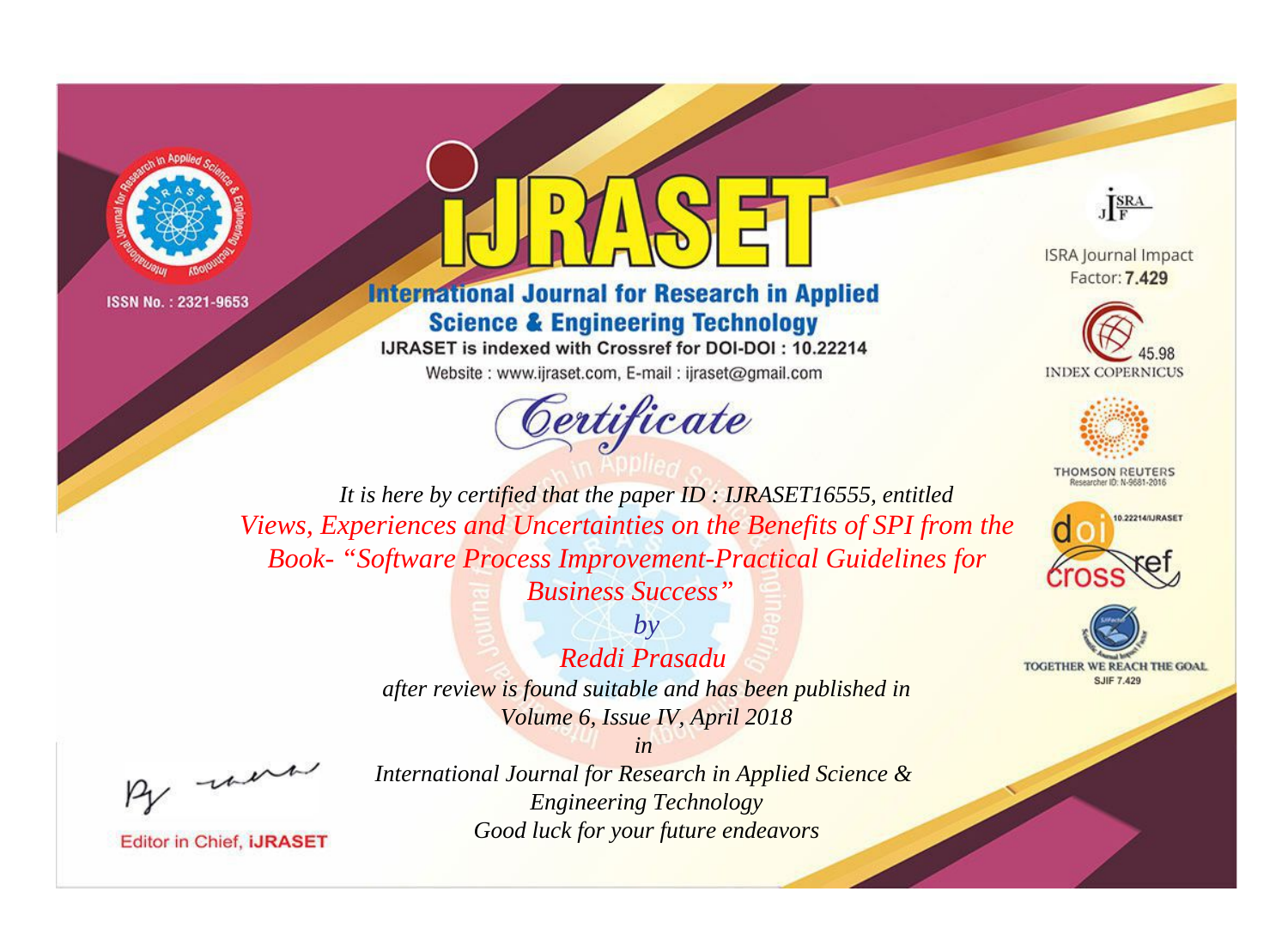

ISSN No.: 2321-9653



## **International Journal for Research in Applied Science & Engineering Technology**

IJRASET is indexed with Crossref for DOI-DOI: 10.22214

Website: www.ijraset.com, E-mail: ijraset@gmail.com



JERA

**ISRA Journal Impact** Factor: 7,429





**THOMSON REUTERS** 





*It is here by certified that the paper ID : IJRASET16555, entitled Views, Experiences and Uncertainties on the Benefits of SPI from the Book- "Software Process Improvement-Practical Guidelines for* 

*Business Success"*

*Reddi Prasadu* 

*by*

*after review is found suitable and has been published in Volume 6, Issue IV, April 2018*

*in* 

, un

**Editor in Chief, IJRASET** 

*International Journal for Research in Applied Science & Engineering Technology Good luck for your future endeavors*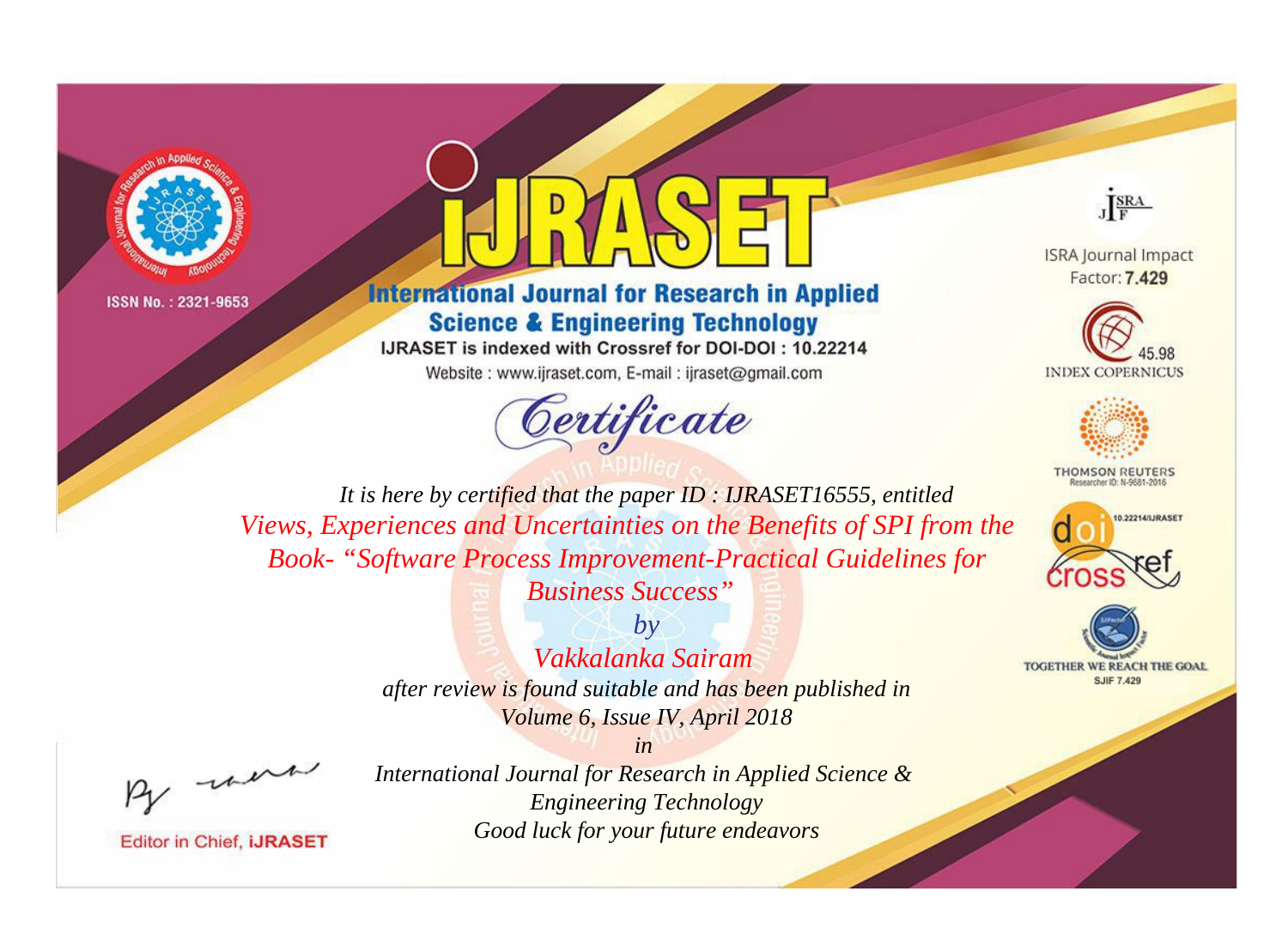

ISSN No.: 2321-9653



## **International Journal for Research in Applied Science & Engineering Technology**

IJRASET is indexed with Crossref for DOI-DOI: 10.22214

Website: www.ijraset.com, E-mail: ijraset@gmail.com





**ISRA Journal Impact** Factor: 7,429





**THOMSON REUTERS** 





*It is here by certified that the paper ID : IJRASET16555, entitled Views, Experiences and Uncertainties on the Benefits of SPI from the Book- "Software Process Improvement-Practical Guidelines for* 

*Business Success"*

*Vakkalanka Sairam* 

*by*

*after review is found suitable and has been published in Volume 6, Issue IV, April 2018*

*in* 

, un

**Editor in Chief, IJRASET** 

*International Journal for Research in Applied Science & Engineering Technology Good luck for your future endeavors*